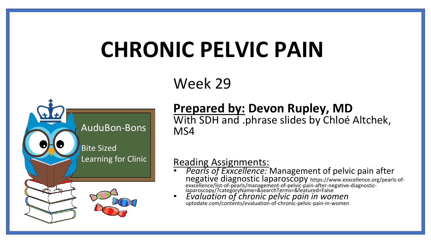# **CHRONIC PELVIC PAIN**

#### Week 29



#### **Prepared by: Devon Rupley, MD** With SDH and .phrase slides by Chloé Altchek, MS4

#### Reading Assignments:

- *Pearls of Exxcellence:* Management of pelvic pain after negative diagnostic laparoscopy https://www.exxcellence.org/pearls-ofexxcellence/list-of-pearls/management-of-pelvic-pain-after-negative-diagnosticlaparoscopy/?categoryName=&searchTerms=&featured=False
- *Evaluation of chronic pelvic pain in women*  uptodate.com/contents/evaluation-of-chronic-pelvic-pain-in-women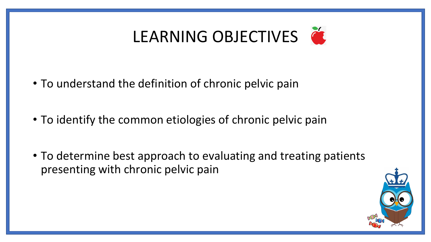## LEARNING OBJECTIVES

- To understand the definition of chronic pelvic pain
- To identify the common etiologies of chronic pelvic pain
- To determine best approach to evaluating and treating patients presenting with chronic pelvic pain

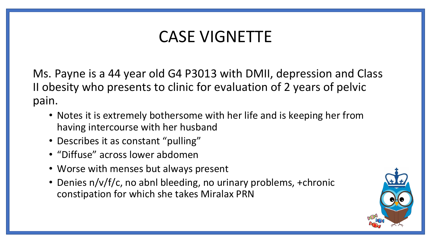### CASE VIGNETTE

Ms. Payne is a 44 year old G4 P3013 with DMII, depression and Class II obesity who presents to clinic for evaluation of 2 years of pelvic pain.

- Notes it is extremely bothersome with her life and is keeping her from having intercourse with her husband
- Describes it as constant "pulling"
- "Diffuse" across lower abdomen
- Worse with menses but always present
- Denies n/v/f/c, no abnl bleeding, no urinary problems, +chronic constipation for which she takes Miralax PRN

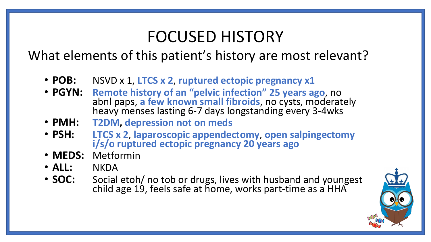#### FOCUSED HISTORY

#### What elements of this patient's history are most relevant?

- **POB:** NSVD x 1, **LTCS x 2**, **ruptured ectopic pregnancy x1**
- **PGYN: Remote history of an "pelvic infection" 25 years ago**, no abnl paps, **a few known small fibroids**, no cysts, moderately heavy menses lasting 6-7 days longstanding every 3-4wks
- **PMH: T2DM, depression not on meds**
- **PSH: LTCS x 2**, **laparoscopic appendectomy**, **open salpingectomy i/s/o ruptured ectopic pregnancy 20 years ago**
- **MEDS:** Metformin
- **ALL:** NKDA
- **SOC:** Social etoh/ no tob or drugs, lives with husband and youngest child age 19, feels safe at home, works part-time as a HHA

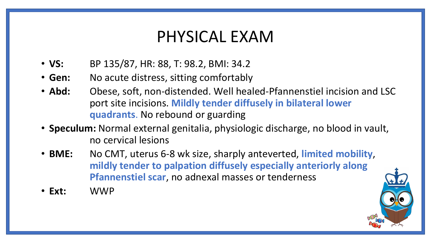#### PHYSICAL EXAM

- **VS:** BP 135/87, HR: 88, T: 98.2, BMI: 34.2
- **Gen:** No acute distress, sitting comfortably
- Abd: Obese, soft, non-distended. Well healed-Pfannenstiel incision and LSC port site incisions. **Mildly tender diffusely in bilateral lower quadrants**. No rebound or guarding
- **Speculum:** Normal external genitalia, physiologic discharge, no blood in vault, no cervical lesions
- **BME:** No CMT, uterus 6-8 wk size, sharply anteverted, **limited mobility**, **mildly tender to palpation diffusely especially anteriorly along Pfannenstiel scar**, no adnexal masses or tenderness
- **Ext:** WWP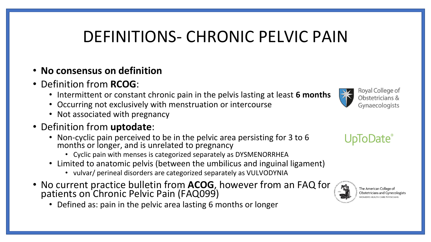### DEFINITIONS- CHRONIC PELVIC PAIN

- **No consensus on definition**
- Definition from **RCOG**:
	- Intermittent or constant chronic pain in the pelvis lasting at least **6 months**
	- Occurring not exclusively with menstruation or intercourse
	- Not associated with pregnancy
- Definition from **uptodate**:
	- Non-cyclic pain perceived to be in the pelvic area persisting for 3 to 6 months or longer, and is unrelated to pregnancy
		- Cyclic pain with menses is categorized separately as DYSMENORRHEA
	- Limited to anatomic pelvis (between the umbilicus and inguinal ligament)
		- vulvar/ perineal disorders are categorized separately as VULVODYNIA
- No current practice bulletin from **ACOG**, however from an FAQ for patients on Chronic Pelvic Pain (FAQ099)
	- Defined as: pain in the pelvic area lasting 6 months or longer









The American College of **Obstetricians and Gynecologists** MEN'S HEALTH CARE PHYSICIANS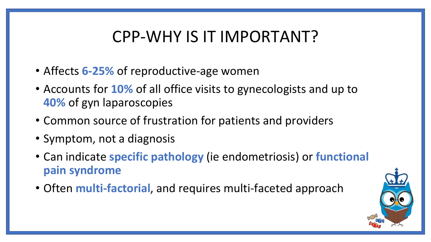### CPP-WHY IS IT IMPORTANT?

- Affects **6-25%** of reproductive-age women
- Accounts for **10%** of all office visits to gynecologists and up to **40%** of gyn laparoscopies
- Common source of frustration for patients and providers
- Symptom, not a diagnosis
- Can indicate **specific pathology** (ie endometriosis) or **functional pain syndrome**
- Often **multi-factorial**, and requires multi-faceted approach

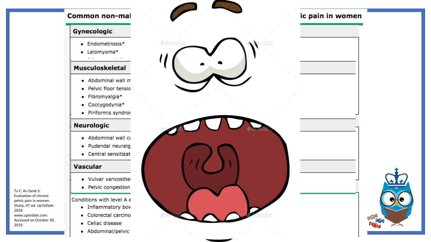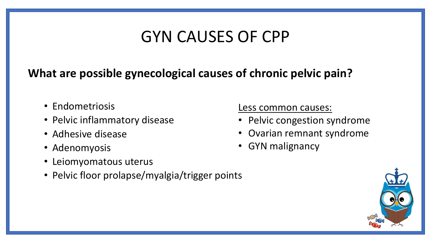### GYN CAUSES OF CPP

#### **What are possible gynecological causes of chronic pelvic pain?**

- Endometriosis
- Pelvic inflammatory disease
- Adhesive disease
- Adenomyosis
- Leiomyomatous uterus
- Pelvic floor prolapse/myalgia/trigger points

Less common causes:

- Pelvic congestion syndrome
- Ovarian remnant syndrome
- GYN malignancy

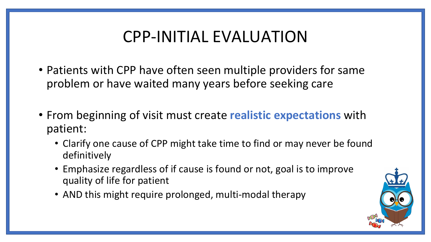### CPP-INITIAL EVALUATION

- Patients with CPP have often seen multiple providers for same problem or have waited many years before seeking care
- From beginning of visit must create **realistic expectations** with patient:
	- Clarify one cause of CPP might take time to find or may never be found definitively
	- Emphasize regardless of if cause is found or not, goal is to improve quality of life for patient
	- AND this might require prolonged, multi-modal therapy

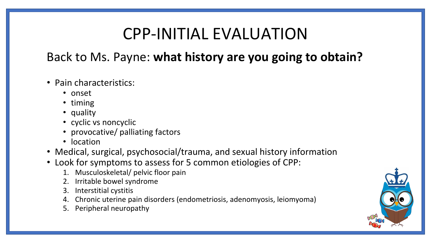#### CPP-INITIAL EVALUATION

#### Back to Ms. Payne: **what history are you going to obtain?**

- Pain characteristics:
	- onset
	- timing
	- quality
	- cyclic vs noncyclic
	- provocative/ palliating factors
	- location
- Medical, surgical, psychosocial/trauma, and sexual history information
- Look for symptoms to assess for 5 common etiologies of CPP:
	- 1. Musculoskeletal/ pelvic floor pain
	- 2. Irritable bowel syndrome
	- 3. Interstitial cystitis
	- 4. Chronic uterine pain disorders (endometriosis, adenomyosis, leiomyoma)
	- 5. Peripheral neuropathy

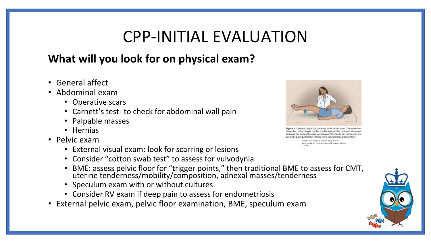#### CPP-INITIAL EVALUATION

#### **What will you look for on physical exam?**

- General affect
- Abdominal exam
	- Operative scars
	- Carnett's test- to check for abdominal wall pain
	- Palpable masses
	- Hernias
- Pelvic exam
	- External visual exam: look for scarring or lesions
	- Consider "cotton swab test" to assess for vulvodynia
	- BME: assess pelvic floor for "trigger points," then traditional BME to assess for CMT, uterine tenderness/mobility/composition, adnexal masses/tenderness
	- Speculum exam with or without cultures
	- Consider RV exam if deep pain to assess for endometriosis
- External pelvic exam, pelvic floor examination, BME, speculum exam



. Carnett's sign for patients with pelvic pain. The exar places his or her finger on the tender area of the patient's abdomen and asks the patient to raise both legs off the table. An increase in the patient's pain during this maneuver is considered a positive test.

Fuente: Chronic Pain in women. David d. Ortiz American Family Physician Volume 77, Number 11 June

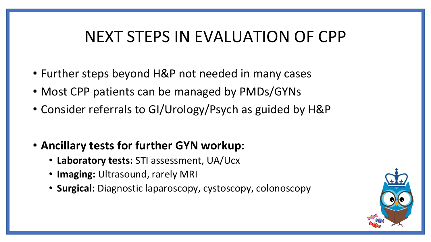### NEXT STEPS IN EVALUATION OF CPP

- Further steps beyond H&P not needed in many cases
- Most CPP patients can be managed by PMDs/GYNs
- Consider referrals to GI/Urology/Psych as guided by H&P
- **Ancillary tests for further GYN workup:**
	- **Laboratory tests:** STI assessment, UA/Ucx
	- **Imaging:** Ultrasound, rarely MRI
	- **Surgical:** Diagnostic laparoscopy, cystoscopy, colonoscopy

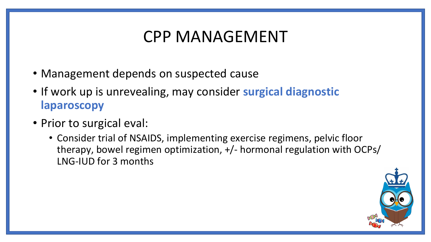#### CPP MANAGEMENT

- Management depends on suspected cause
- If work up is unrevealing, may consider **surgical diagnostic laparoscopy**
- Prior to surgical eval:
	- Consider trial of NSAIDS, implementing exercise regimens, pelvic floor therapy, bowel regimen optimization, +/- hormonal regulation with OCPs/ LNG-IUD for 3 months

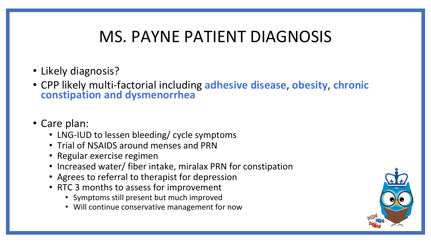### MS. PAYNE PATIENT DIAGNOSIS

- Likely diagnosis?
- CPP likely multi-factorial including **adhesive disease**, **obesity**, **chronic constipation and dysmenorrhea**
- Care plan:
	- LNG-IUD to lessen bleeding/ cycle symptoms
	- Trial of NSAIDS around menses and PRN
	- Regular exercise regimen
	- Increased water/ fiber intake, miralax PRN for constipation
	- Agrees to referral to therapist for depression
	- RTC 3 months to assess for improvement
		- Symptoms still present but much improved
		- Will continue conservative management for now

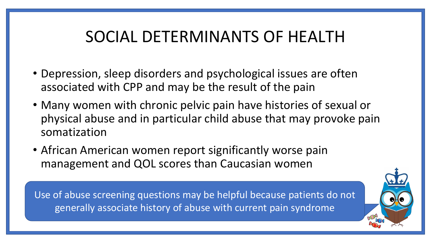### SOCIAL DETERMINANTS OF HEALTH

- Depression, sleep disorders and psychological issues are often associated with CPP and may be the result of the pain
- Many women with chronic pelvic pain have histories of sexual or physical abuse and in particular child abuse that may provoke pain somatization
- African American women report significantly worse pain management and QOL scores than Caucasian women

Use of abuse screening questions may be helpful because patients do not generally associate history of abuse with current pain syndrome

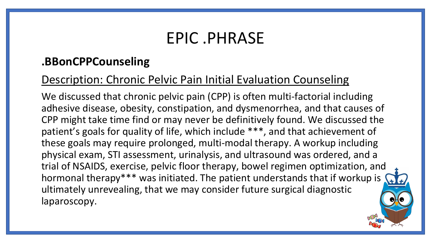#### EPIC .PHRASE

#### **.BBonCPPCounseling**

#### Description: Chronic Pelvic Pain Initial Evaluation Counseling

We discussed that chronic pelvic pain (CPP) is often multi-factorial including adhesive disease, obesity, constipation, and dysmenorrhea, and that causes of CPP might take time find or may never be definitively found. We discussed the patient's goals for quality of life, which include \*\*\*, and that achievement of these goals may require prolonged, multi-modal therapy. A workup including physical exam, STI assessment, urinalysis, and ultrasound was ordered, and a trial of NSAIDS, exercise, pelvic floor therapy, bowel regimen optimization, and hormonal therapy\*\*\* was initiated. The patient understands that if workup is ultimately unrevealing, that we may consider future surgical diagnostic laparoscopy.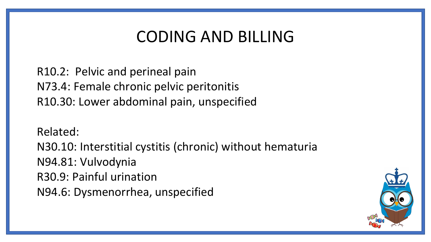#### CODING AND BILLING

R10.2: Pelvic and perineal pain N73.4: Female chronic pelvic peritonitis R10.30: Lower abdominal pain, unspecified

Related:

N30.10: Interstitial cystitis (chronic) without hematuria N94.81: Vulvodynia R30.9: Painful urination N94.6: Dysmenorrhea, unspecified